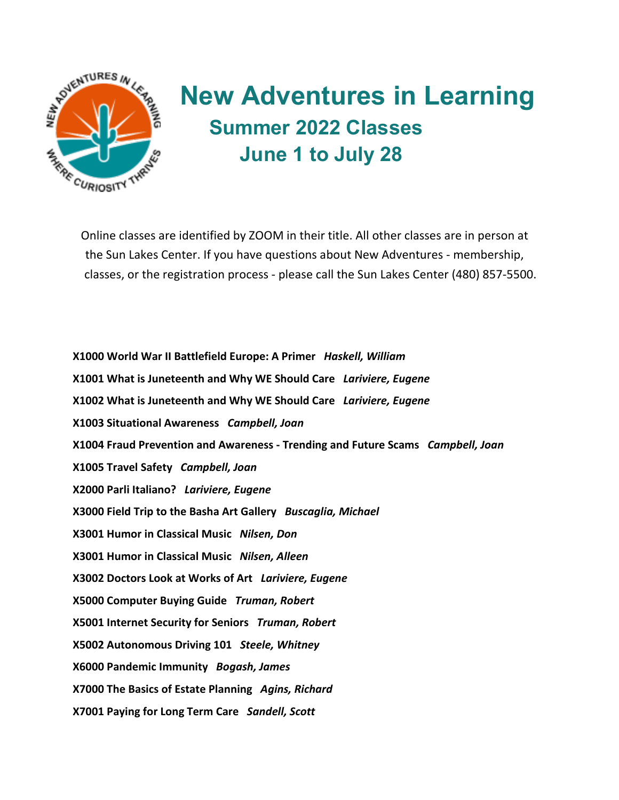

## **New Adventures in Learning Summer 2022 Classes June 1 to July 28**

Online classes are identified by ZOOM in their title. All other classes are in person at the Sun Lakes Center. If you have questions about New Adventures - membership, classes, or the registration process - please call the Sun Lakes Center (480) 857-5500.

**X1000 World War II Battlefield Europe: A Primer** *Haskell, William* **X1001 What is Juneteenth and Why WE Should Care** *Lariviere, Eugene* **X1002 What is Juneteenth and Why WE Should Care** *Lariviere, Eugene* **X1003 Situational Awareness** *Campbell, Joan* **X1004 Fraud Prevention and Awareness - Trending and Future Scams** *Campbell, Joan* **X1005 Travel Safety** *Campbell, Joan* **X2000 Parli Italiano?** *Lariviere, Eugene* **X3000 Field Trip to the Basha Art Gallery** *Buscaglia, Michael* **X3001 Humor in Classical Music** *Nilsen, Don* **X3001 Humor in Classical Music** *Nilsen, Alleen* **X3002 Doctors Look at Works of Art** *Lariviere, Eugene* **X5000 Computer Buying Guide** *Truman, Robert* **X5001 Internet Security for Seniors** *Truman, Robert* **X5002 Autonomous Driving 101** *Steele, Whitney* **X6000 Pandemic Immunity** *Bogash, James* **X7000 The Basics of Estate Planning** *Agins, Richard* **X7001 Paying for Long Term Care** *Sandell, Scott*